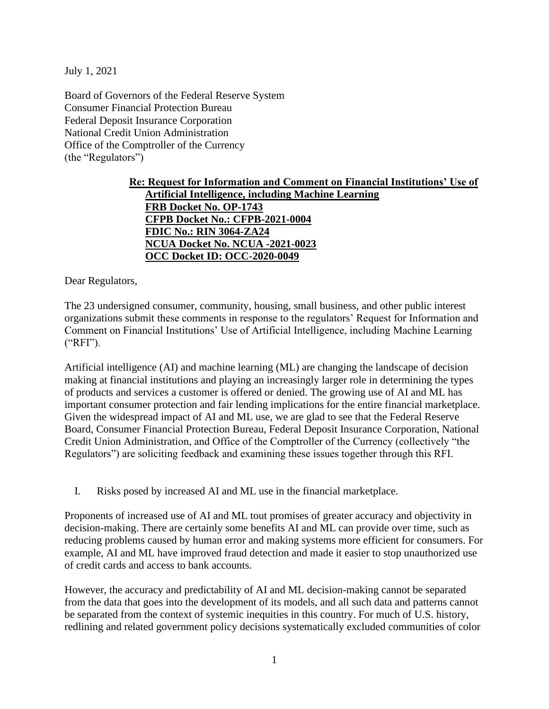July 1, 2021

Board of Governors of the Federal Reserve System Consumer Financial Protection Bureau Federal Deposit Insurance Corporation National Credit Union Administration Office of the Comptroller of the Currency (the "Regulators")

## **Re: Request for Information and Comment on Financial Institutions' Use of Artificial Intelligence, including Machine Learning FRB Docket No. OP-1743 CFPB Docket No.: CFPB-2021-0004 FDIC No.: RIN 3064-ZA24 NCUA Docket No. NCUA -2021-0023 OCC Docket ID: OCC-2020-0049**

Dear Regulators,

The 23 undersigned consumer, community, housing, small business, and other public interest organizations submit these comments in response to the regulators' Request for Information and Comment on Financial Institutions' Use of Artificial Intelligence, including Machine Learning ("RFI").

Artificial intelligence (AI) and machine learning (ML) are changing the landscape of decision making at financial institutions and playing an increasingly larger role in determining the types of products and services a customer is offered or denied. The growing use of AI and ML has important consumer protection and fair lending implications for the entire financial marketplace. Given the widespread impact of AI and ML use, we are glad to see that the Federal Reserve Board, Consumer Financial Protection Bureau, Federal Deposit Insurance Corporation, National Credit Union Administration, and Office of the Comptroller of the Currency (collectively "the Regulators") are soliciting feedback and examining these issues together through this RFI.

I. Risks posed by increased AI and ML use in the financial marketplace.

Proponents of increased use of AI and ML tout promises of greater accuracy and objectivity in decision-making. There are certainly some benefits AI and ML can provide over time, such as reducing problems caused by human error and making systems more efficient for consumers. For example, AI and ML have improved fraud detection and made it easier to stop unauthorized use of credit cards and access to bank accounts.

However, the accuracy and predictability of AI and ML decision-making cannot be separated from the data that goes into the development of its models, and all such data and patterns cannot be separated from the context of systemic inequities in this country. For much of U.S. history, redlining and related government policy decisions systematically excluded communities of color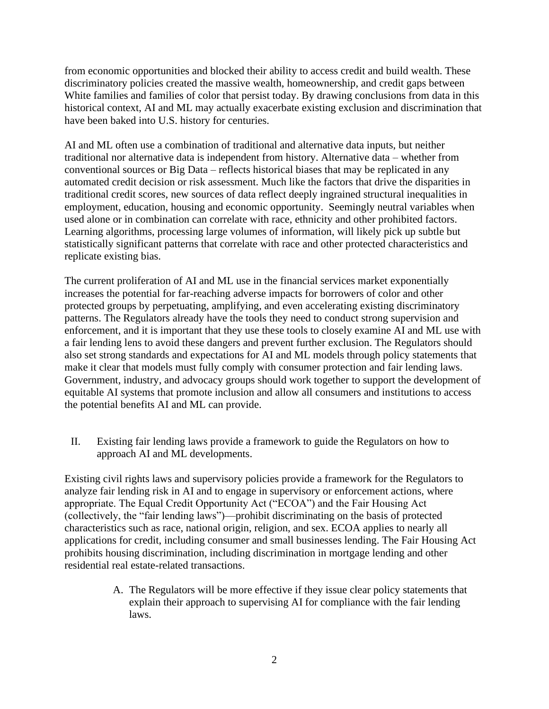from economic opportunities and blocked their ability to access credit and build wealth. These discriminatory policies created the massive wealth, homeownership, and credit gaps between White families and families of color that persist today. By drawing conclusions from data in this historical context, AI and ML may actually exacerbate existing exclusion and discrimination that have been baked into U.S. history for centuries.

AI and ML often use a combination of traditional and alternative data inputs, but neither traditional nor alternative data is independent from history. Alternative data – whether from conventional sources or Big Data – reflects historical biases that may be replicated in any automated credit decision or risk assessment. Much like the factors that drive the disparities in traditional credit scores, new sources of data reflect deeply ingrained structural inequalities in employment, education, housing and economic opportunity. Seemingly neutral variables when used alone or in combination can correlate with race, ethnicity and other prohibited factors. Learning algorithms, processing large volumes of information, will likely pick up subtle but statistically significant patterns that correlate with race and other protected characteristics and replicate existing bias.

The current proliferation of AI and ML use in the financial services market exponentially increases the potential for far-reaching adverse impacts for borrowers of color and other protected groups by perpetuating, amplifying, and even accelerating existing discriminatory patterns. The Regulators already have the tools they need to conduct strong supervision and enforcement, and it is important that they use these tools to closely examine AI and ML use with a fair lending lens to avoid these dangers and prevent further exclusion. The Regulators should also set strong standards and expectations for AI and ML models through policy statements that make it clear that models must fully comply with consumer protection and fair lending laws. Government, industry, and advocacy groups should work together to support the development of equitable AI systems that promote inclusion and allow all consumers and institutions to access the potential benefits AI and ML can provide.

II. Existing fair lending laws provide a framework to guide the Regulators on how to approach AI and ML developments.

Existing civil rights laws and supervisory policies provide a framework for the Regulators to analyze fair lending risk in AI and to engage in supervisory or enforcement actions, where appropriate. The Equal Credit Opportunity Act ("ECOA") and the Fair Housing Act (collectively, the "fair lending laws")—prohibit discriminating on the basis of protected characteristics such as race, national origin, religion, and sex. ECOA applies to nearly all applications for credit, including consumer and small businesses lending. The Fair Housing Act prohibits housing discrimination, including discrimination in mortgage lending and other residential real estate-related transactions.

> A. The Regulators will be more effective if they issue clear policy statements that explain their approach to supervising AI for compliance with the fair lending laws.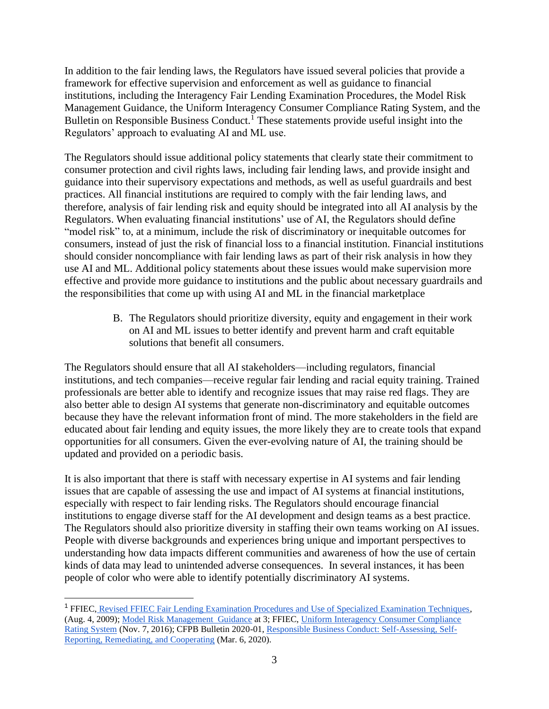In addition to the fair lending laws, the Regulators have issued several policies that provide a framework for effective supervision and enforcement as well as guidance to financial institutions, including the Interagency Fair Lending Examination Procedures, the Model Risk Management Guidance, the Uniform Interagency Consumer Compliance Rating System, and the Bulletin on Responsible Business Conduct.<sup>1</sup> These statements provide useful insight into the Regulators' approach to evaluating AI and ML use.

The Regulators should issue additional policy statements that clearly state their commitment to consumer protection and civil rights laws, including fair lending laws, and provide insight and guidance into their supervisory expectations and methods, as well as useful guardrails and best practices. All financial institutions are required to comply with the fair lending laws, and therefore, analysis of fair lending risk and equity should be integrated into all AI analysis by the Regulators. When evaluating financial institutions' use of AI, the Regulators should define "model risk" to, at a minimum, include the risk of discriminatory or inequitable outcomes for consumers, instead of just the risk of financial loss to a financial institution. Financial institutions should consider noncompliance with fair lending laws as part of their risk analysis in how they use AI and ML. Additional policy statements about these issues would make supervision more effective and provide more guidance to institutions and the public about necessary guardrails and the responsibilities that come up with using AI and ML in the financial marketplace

> B. The Regulators should prioritize diversity, equity and engagement in their work on AI and ML issues to better identify and prevent harm and craft equitable solutions that benefit all consumers.

The Regulators should ensure that all AI stakeholders—including regulators, financial institutions, and tech companies—receive regular fair lending and racial equity training. Trained professionals are better able to identify and recognize issues that may raise red flags. They are also better able to design AI systems that generate non-discriminatory and equitable outcomes because they have the relevant information front of mind. The more stakeholders in the field are educated about fair lending and equity issues, the more likely they are to create tools that expand opportunities for all consumers. Given the ever-evolving nature of AI, the training should be updated and provided on a periodic basis.

It is also important that there is staff with necessary expertise in AI systems and fair lending issues that are capable of assessing the use and impact of AI systems at financial institutions, especially with respect to fair lending risks. The Regulators should encourage financial institutions to engage diverse staff for the AI development and design teams as a best practice. The Regulators should also prioritize diversity in staffing their own teams working on AI issues. People with diverse backgrounds and experiences bring unique and important perspectives to understanding how data impacts different communities and awareness of how the use of certain kinds of data may lead to unintended adverse consequences. In several instances, it has been people of color who were able to identify potentially discriminatory AI systems.

<sup>1</sup> FFIEC, [Revised FFIEC Fair Lending Examination Procedures and Use of Specialized Examination Techniques,](https://www.federalreserve.gov/boarddocs/caletters/2009/0906/caltr0906.htm)  (Aug. 4, 2009); [Model Risk Management Guidance](https://www.federalreserve.gov/supervisionreg/srletters/sr1107a1.pdf) at 3; FFIEC, [Uniform Interagency Consumer Compliance](https://www.federalreserve.gov/supervisionreg/caletters/CA_16-8_Attachment_Uniform_Interagency_CC_Rating_System_(002).pdf)  [Rating System](https://www.federalreserve.gov/supervisionreg/caletters/CA_16-8_Attachment_Uniform_Interagency_CC_Rating_System_(002).pdf) (Nov. 7, 2016); CFPB Bulletin 2020-01, [Responsible Business Conduct: Self-Assessing, Self-](https://www.consumerfinance.gov/compliance/supervisory-guidance/bulletin-responsible-business-conduct/)[Reporting, Remediating, and Cooperating](https://www.consumerfinance.gov/compliance/supervisory-guidance/bulletin-responsible-business-conduct/) (Mar. 6, 2020).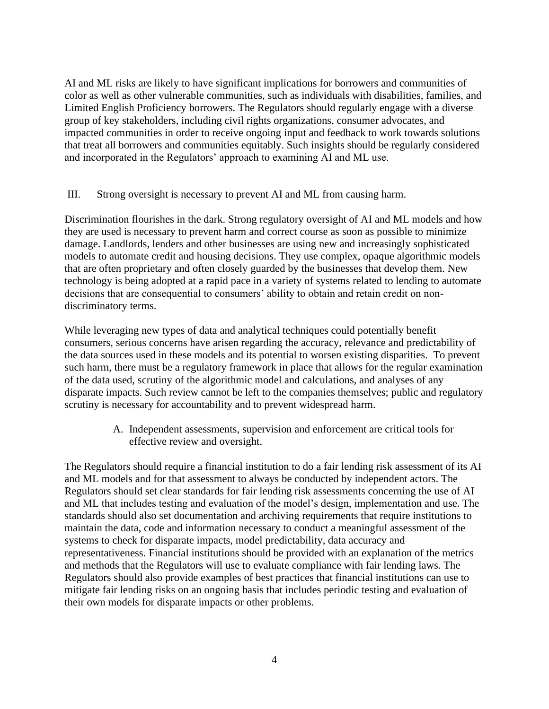AI and ML risks are likely to have significant implications for borrowers and communities of color as well as other vulnerable communities, such as individuals with disabilities, families, and Limited English Proficiency borrowers. The Regulators should regularly engage with a diverse group of key stakeholders, including civil rights organizations, consumer advocates, and impacted communities in order to receive ongoing input and feedback to work towards solutions that treat all borrowers and communities equitably. Such insights should be regularly considered and incorporated in the Regulators' approach to examining AI and ML use.

## III. Strong oversight is necessary to prevent AI and ML from causing harm.

Discrimination flourishes in the dark. Strong regulatory oversight of AI and ML models and how they are used is necessary to prevent harm and correct course as soon as possible to minimize damage. Landlords, lenders and other businesses are using new and increasingly sophisticated models to automate credit and housing decisions. They use complex, opaque algorithmic models that are often proprietary and often closely guarded by the businesses that develop them. New technology is being adopted at a rapid pace in a variety of systems related to lending to automate decisions that are consequential to consumers' ability to obtain and retain credit on nondiscriminatory terms.

While leveraging new types of data and analytical techniques could potentially benefit consumers, serious concerns have arisen regarding the accuracy, relevance and predictability of the data sources used in these models and its potential to worsen existing disparities. To prevent such harm, there must be a regulatory framework in place that allows for the regular examination of the data used, scrutiny of the algorithmic model and calculations, and analyses of any disparate impacts. Such review cannot be left to the companies themselves; public and regulatory scrutiny is necessary for accountability and to prevent widespread harm.

> A. Independent assessments, supervision and enforcement are critical tools for effective review and oversight.

The Regulators should require a financial institution to do a fair lending risk assessment of its AI and ML models and for that assessment to always be conducted by independent actors. The Regulators should set clear standards for fair lending risk assessments concerning the use of AI and ML that includes testing and evaluation of the model's design, implementation and use. The standards should also set documentation and archiving requirements that require institutions to maintain the data, code and information necessary to conduct a meaningful assessment of the systems to check for disparate impacts, model predictability, data accuracy and representativeness. Financial institutions should be provided with an explanation of the metrics and methods that the Regulators will use to evaluate compliance with fair lending laws. The Regulators should also provide examples of best practices that financial institutions can use to mitigate fair lending risks on an ongoing basis that includes periodic testing and evaluation of their own models for disparate impacts or other problems.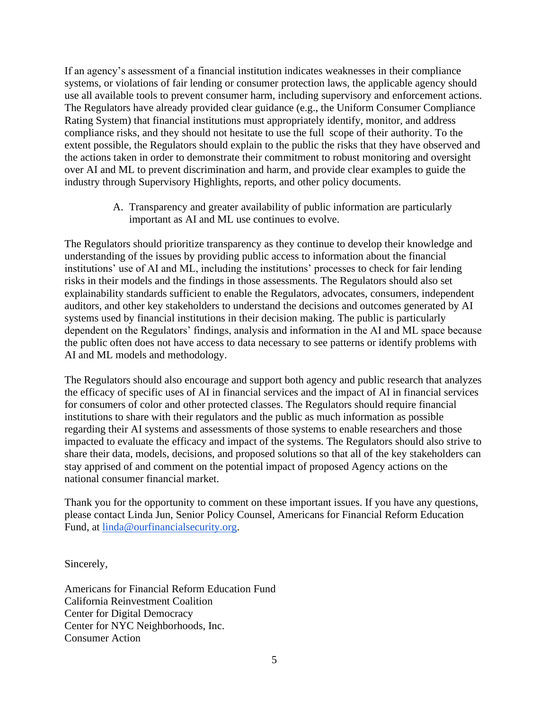If an agency's assessment of a financial institution indicates weaknesses in their compliance systems, or violations of fair lending or consumer protection laws, the applicable agency should use all available tools to prevent consumer harm, including supervisory and enforcement actions. The Regulators have already provided clear guidance (e.g., the Uniform Consumer Compliance Rating System) that financial institutions must appropriately identify, monitor, and address compliance risks, and they should not hesitate to use the full scope of their authority. To the extent possible, the Regulators should explain to the public the risks that they have observed and the actions taken in order to demonstrate their commitment to robust monitoring and oversight over AI and ML to prevent discrimination and harm, and provide clear examples to guide the industry through Supervisory Highlights, reports, and other policy documents.

> A. Transparency and greater availability of public information are particularly important as AI and ML use continues to evolve.

The Regulators should prioritize transparency as they continue to develop their knowledge and understanding of the issues by providing public access to information about the financial institutions' use of AI and ML, including the institutions' processes to check for fair lending risks in their models and the findings in those assessments. The Regulators should also set explainability standards sufficient to enable the Regulators, advocates, consumers, independent auditors, and other key stakeholders to understand the decisions and outcomes generated by AI systems used by financial institutions in their decision making. The public is particularly dependent on the Regulators' findings, analysis and information in the AI and ML space because the public often does not have access to data necessary to see patterns or identify problems with AI and ML models and methodology.

The Regulators should also encourage and support both agency and public research that analyzes the efficacy of specific uses of AI in financial services and the impact of AI in financial services for consumers of color and other protected classes. The Regulators should require financial institutions to share with their regulators and the public as much information as possible regarding their AI systems and assessments of those systems to enable researchers and those impacted to evaluate the efficacy and impact of the systems. The Regulators should also strive to share their data, models, decisions, and proposed solutions so that all of the key stakeholders can stay apprised of and comment on the potential impact of proposed Agency actions on the national consumer financial market.

Thank you for the opportunity to comment on these important issues. If you have any questions, please contact Linda Jun, Senior Policy Counsel, Americans for Financial Reform Education Fund, at [linda@ourfinancialsecurity.org.](mailto:linda@ourfinancialsecurity.org)

Sincerely,

Americans for Financial Reform Education Fund California Reinvestment Coalition Center for Digital Democracy Center for NYC Neighborhoods, Inc. Consumer Action